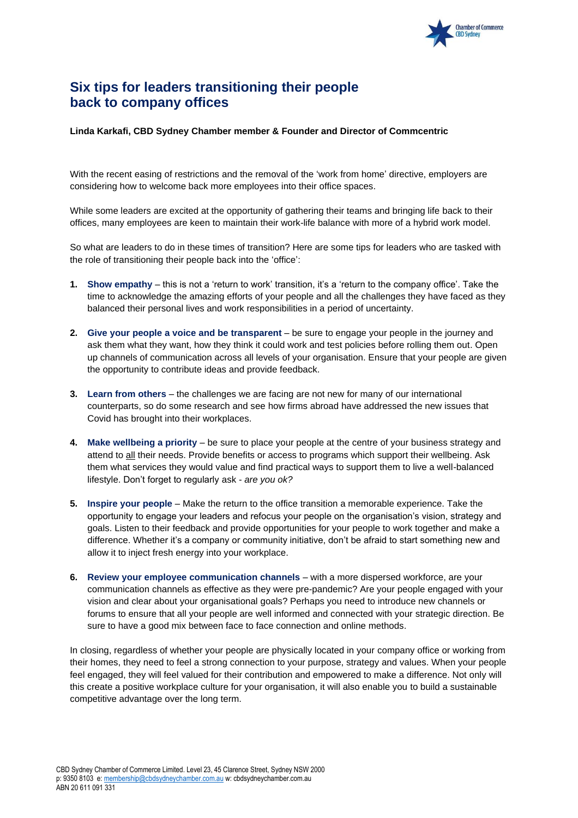

## **Six tips for leaders transitioning their people back to company offices**

## **Linda Karkafi, CBD Sydney Chamber member & Founder and Director of Commcentric**

With the recent easing of restrictions and the removal of the 'work from home' directive, employers are considering how to welcome back more employees into their office spaces.

While some leaders are excited at the opportunity of gathering their teams and bringing life back to their offices, many employees are keen to maintain their work-life balance with more of a hybrid work model.

So what are leaders to do in these times of transition? Here are some tips for leaders who are tasked with the role of transitioning their people back into the 'office':

- **1. Show empathy**  this is not a 'return to work' transition, it's a 'return to the company office'. Take the time to acknowledge the amazing efforts of your people and all the challenges they have faced as they balanced their personal lives and work responsibilities in a period of uncertainty.
- **2. Give your people a voice and be transparent** be sure to engage your people in the journey and ask them what they want, how they think it could work and test policies before rolling them out. Open up channels of communication across all levels of your organisation. Ensure that your people are given the opportunity to contribute ideas and provide feedback.
- **3. Learn from others** the challenges we are facing are not new for many of our international counterparts, so do some research and see how firms abroad have addressed the new issues that Covid has brought into their workplaces.
- **4. Make wellbeing a priority** be sure to place your people at the centre of your business strategy and attend to all their needs. Provide benefits or access to programs which support their wellbeing. Ask them what services they would value and find practical ways to support them to live a well-balanced lifestyle. Don't forget to regularly ask - *are you ok?*
- **5. Inspire your people** Make the return to the office transition a memorable experience. Take the opportunity to engage your leaders and refocus your people on the organisation's vision, strategy and goals. Listen to their feedback and provide opportunities for your people to work together and make a difference. Whether it's a company or community initiative, don't be afraid to start something new and allow it to inject fresh energy into your workplace.
- **6. Review your employee communication channels** with a more dispersed workforce, are your communication channels as effective as they were pre-pandemic? Are your people engaged with your vision and clear about your organisational goals? Perhaps you need to introduce new channels or forums to ensure that all your people are well informed and connected with your strategic direction. Be sure to have a good mix between face to face connection and online methods.

In closing, regardless of whether your people are physically located in your company office or working from their homes, they need to feel a strong connection to your purpose, strategy and values. When your people feel engaged, they will feel valued for their contribution and empowered to make a difference. Not only will this create a positive workplace culture for your organisation, it will also enable you to build a sustainable competitive advantage over the long term.